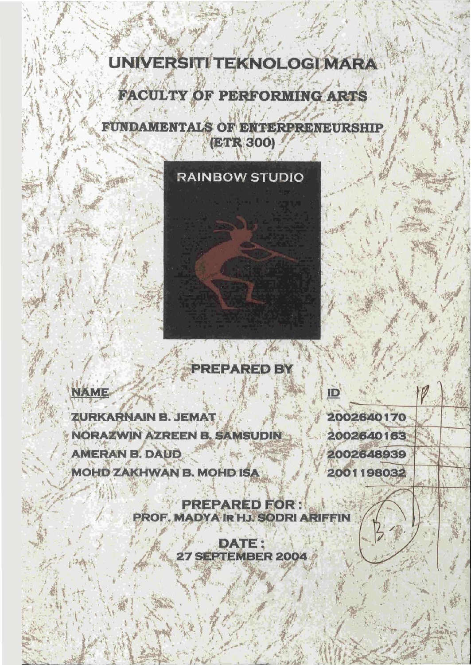# UNIVERSITI TEKNOLOGI MARA

**FACULTY OF PERFORMING ARTS** 

**FUNDAMENTALS OF ENTERPRENEURSHIP** (ETR 300)

# **RAINBOW STUDIO**

# **PREPARED BY**

# **NAME**

ZURKARNAIN B. JEMAT **NORAZWIN AZREEN B. SAMSUDIN AMERAN B. DAUD MOHD ZAKHWAN B. MOHD ISA** 

2002640170 2002640163 2002648939 2001198032

**PREPARED FOR:** PROF. MADYA IR HJ. SODRI ARIFFIN

> DATE: 27 SEPTEMBER 2004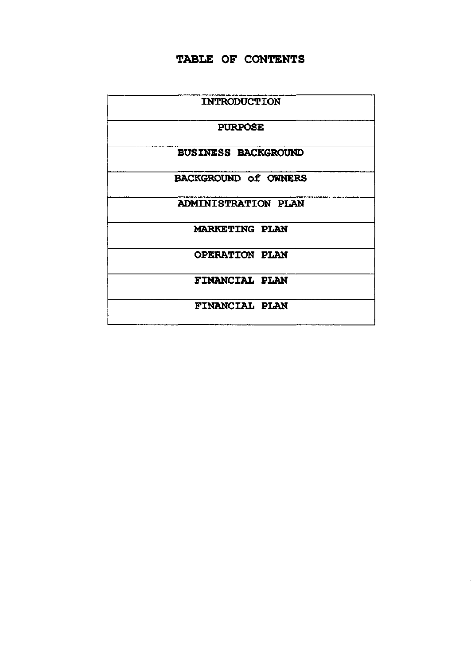# **TABLE OF CONTENTS**

| <b>INTRODUCTION</b>         |  |
|-----------------------------|--|
| <b>PURPOSE</b>              |  |
| <b>BUSINESS BACKGROUND</b>  |  |
| <b>BACKGROUND of OWNERS</b> |  |
| <b>ADMINISTRATION PLAN</b>  |  |
| <b>MARKETING PLAN</b>       |  |
| <b>OPERATION PLAN</b>       |  |
| <b>FINANCIAL PLAN</b>       |  |
| <b>FINANCIAL PLAN</b>       |  |
|                             |  |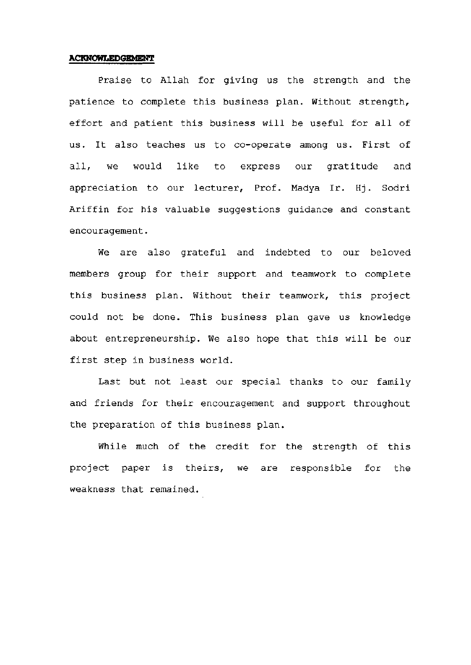### **ACKNOWLEDGEMENT**

Praise to Allah for giving us the strength and the patience to complete this business plan. Without strength, effort and patient this business will be useful for all of us. It also teaches us to co-operate among us. First of all, we would like to express our gratitude and appreciation to our lecturer, Prof. Madya Ir. Hj. Sodri Ariffin for his valuable suggestions guidance and constant encouragement.

We are also grateful and indebted to our beloved members group for their support and teamwork to complete this business plan. Without their teamwork, this project could not be done. This business plan gave us knowledge about entrepreneurship. We also hope that this will be our first step in business world.

Last but not least our special thanks to our family and friends for their encouragement and support throughout the preparation of this business plan.

While much of the credit for the strength of this project paper is theirs, we are responsible for the weakness that remained.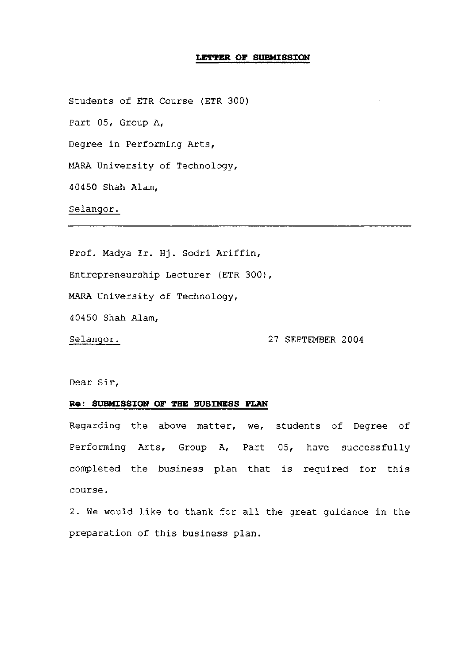### **LETTER OF SUBMISSION**

Students of ETR Course (ETR 300) Part 05, Group A, Degree in Performing Arts, MARA University of Technology, 40450 Shah Alam,

# Selangor.

Prof. Madya Ir. Hj. Sodri Ariffin,

Entrepreneurship Lecturer (ETR 300),

MARA University of Technology,

40450 Shah Alam,

Selangor. 27 SEPTEMBER 2004

Dear Sir,

## **Re: SUBMISSION OF THE BUSINESS PLAN**

Regarding the above matter, we, students of Degree of Performing Arts, Group A, Part 05, have successfully completed the business plan that is required for this course.

2. We would like to thank for all the great guidance in the preparation of this business plan.